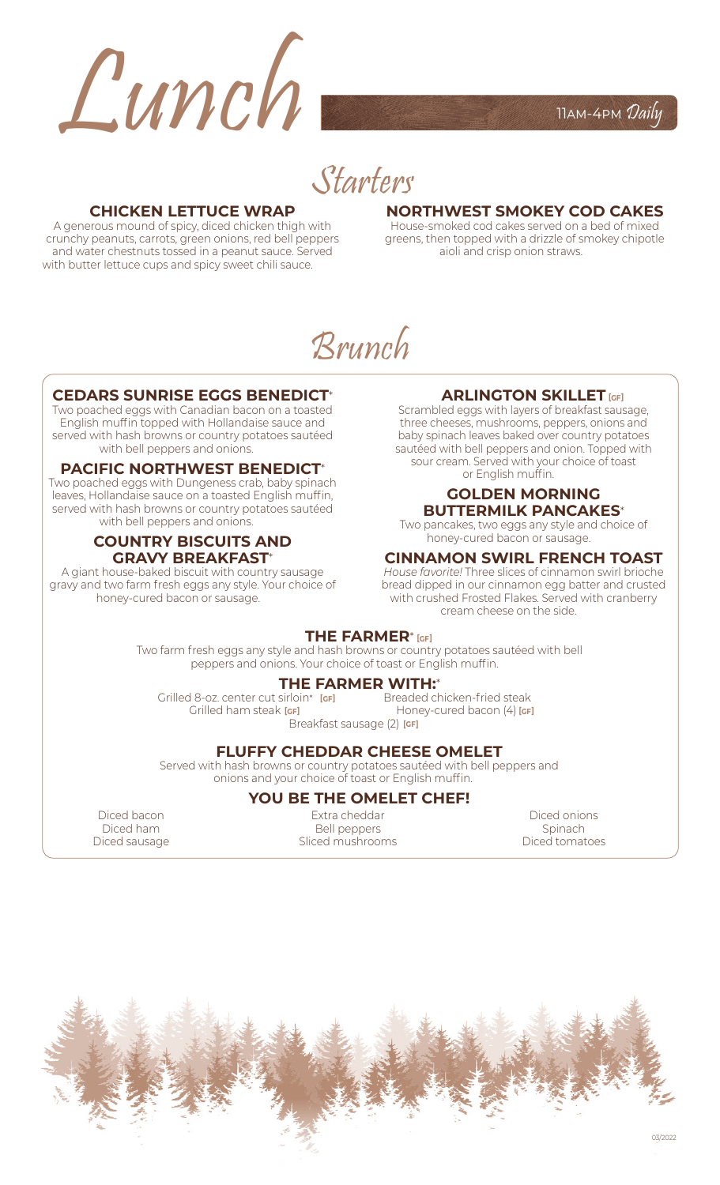

Starters

#### **CHICKEN LETTUCE WRAP**

A generous mound of spicy, diced chicken thigh with crunchy peanuts, carrots, green onions, red bell peppers and water chestnuts tossed in a peanut sauce. Served with butter lettuce cups and spicy sweet chili sauce.

#### **NORTHWEST SMOKEY COD CAKES**

House-smoked cod cakes served on a bed of mixed greens, then topped with a drizzle of smokey chipotle aioli and crisp onion straws.

# Brunch

#### **CEDARS SUNRISE EGGS BENEDICT**\*

Two poached eggs with Canadian bacon on a toasted English muffin topped with Hollandaise sauce and served with hash browns or country potatoes sautéed with bell peppers and onions.

#### **PACIFIC NORTHWEST BENEDICT**\*

Two poached eggs with Dungeness crab, baby spinach leaves, Hollandaise sauce on a toasted English muffin, served with hash browns or country potatoes sautéed with bell peppers and onions.

#### **COUNTRY BISCUITS AND GRAVY BREAKFAST**\*

A giant house-baked biscuit with country sausage gravy and two farm fresh eggs any style. Your choice of honey-cured bacon or sausage.

## **ARLINGTON SKILLET [GF]**

Scrambled eggs with layers of breakfast sausage, three cheeses, mushrooms, peppers, onions and baby spinach leaves baked over country potatoes sautéed with bell peppers and onion. Topped with sour cream. Served with your choice of toast or English muffin.

#### **GOLDEN MORNING BUTTERMILK PANCAKES**\*

Two pancakes, two eggs any style and choice of honey-cured bacon or sausage.

#### **CINNAMON SWIRL FRENCH TOAST**

*House favorite!* Three slices of cinnamon swirl brioche bread dipped in our cinnamon egg batter and crusted with crushed Frosted Flakes. Served with cranberry cream cheese on the side.

#### **THE FARMER**\* **[GF]**

Two farm fresh eggs any style and hash browns or country potatoes sautéed with bell peppers and onions. Your choice of toast or English muffin. **12.00**

#### **THE FARMER WITH:**\*

Grilled 8-oz. center cut sirloin\* **24.00** Breaded chicken-fried steak **16.00 [GF]**  $\blacksquare$  Grilled ham steak [GF]  $\blacksquare$  Honey-cured bacon (4) [GF]

Breakfast sausage (2) **[GF]** 

#### **FLUFFY CHEDDAR CHEESE OMELET**

Served with hash browns or country potatoes sautéed with bell peppers and onions and your choice of toast or English muffin. **13.00**

# **YOU BE THE OMELET CHEF!**

Diced bacon Diced ham Diced sausage

Extra cheddar Bell peppers Sliced mushrooms

Diced onions Spinach Diced tomatoes